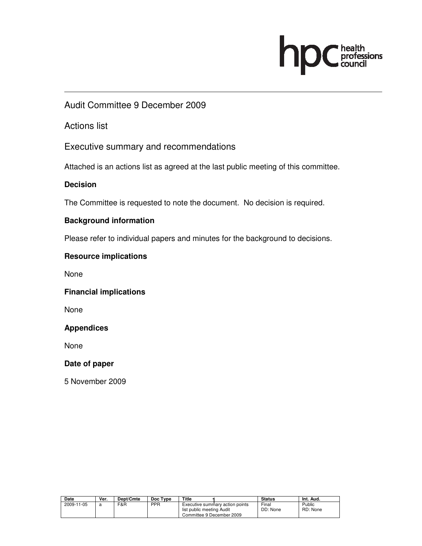# health<br>professions<br>council h

### Audit Committee 9 December 2009

Actions list

Executive summary and recommendations

Attached is an actions list as agreed at the last public meeting of this committee.

#### **Decision**

The Committee is requested to note the document. No decision is required.

#### **Background information**

Please refer to individual papers and minutes for the background to decisions.

#### **Resource implications**

None

#### **Financial implications**

None

**Appendices** 

None

#### **Date of paper**

5 November 2009

| Date       | Ver. | Dept/Cmte | Doc Type   | Title                                                                                     | <b>Status</b>     | Int. Aud.          |
|------------|------|-----------|------------|-------------------------------------------------------------------------------------------|-------------------|--------------------|
| 2009-11-05 | я    | F&R       | <b>PPR</b> | Executive summary action points<br>list public meeting Audit<br>Committee 9 December 2009 | Final<br>DD: None | Public<br>RD: None |